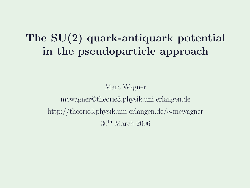### The SU(2) quark-antiquark potential in the pseudoparticle approach

Marc Wagner mcwagner@theorie3.physik.uni-erlangen.de http://theorie3.physik.uni-erlangen.de/∼mcwagner 30th March 2006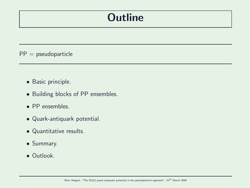## **Outline**

 $PP =$  pseudoparticle

- Basic principle.
- Building blocks of PP ensembles.
- PP ensembles.
- Quark-antiquark potential.
- Quantitative results.
- Summary.
- Outlook.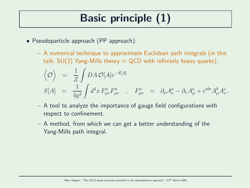# Basic principle (1)

- Pseudoparticle approach (PP approach):
	- A numerical technique to approximate Euclidean path integrals (in this talk:  $SU(2)$  Yang-Mills theory  $\approx$  QCD with infinitely heavy quarks):

$$
\langle \mathcal{O} \rangle = \frac{1}{Z} \int DA \mathcal{O}[A] e^{-S[A]}
$$
  
\n
$$
S[A] = \frac{1}{4g^2} \int d^4x F^a_{\mu\nu} F^a_{\mu\nu} , \quad F^a_{\mu\nu} = \partial_\mu A^a_\nu - \partial_\nu A^a_\mu + \epsilon^{abc} A^b_\mu A^c_\nu.
$$

- A tool to analyze the importance of gauge field configurations with respect to confinement.
- A method, from which we can get a better understanding of the Yang-Mills path integral.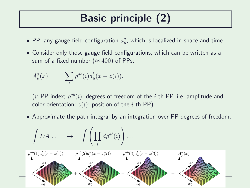# Basic principle (2)

- $\bullet$  PP: any gauge field configuration  $a^a_\mu$  $_{\mu}^{a}$ , which is localized in space and time.
- Consider only those gauge field configurations, which can be written as a sum of a fixed number ( $\approx 400$ ) of PPs:

$$
A^a_\mu(x) = \sum_i \rho^{ab}(i) a^b_\mu(x - z(i)).
$$

 $(i:$  PP index;  $\rho^{ab}(i)$ : degrees of freedom of the  $i$ -th PP, i.e. amplitude and color orientation;  $z(i)$ : position of the *i*-th PP).

• Approximate the path integral by an integration over PP degrees of freedom:

$$
\int DA \dots \longrightarrow \int \left(\prod_i d\rho^{ab}(i)\right) \dots
$$
\n
$$
\rho^{ab}(1)a^b_\mu(x-z(1)) \qquad \rho^{ab}(2)a^b_\mu(x-z(2)) \qquad \rho^{ab}(3)a^b_\mu(x-z(3)) \qquad A^a_\mu(x)
$$
\n
$$
\longleftarrow
$$
\n
$$
\downarrow x_0
$$
\n
$$
x_1
$$
\n
$$
x_0
$$
\n
$$
x_1
$$
\n
$$
x_0
$$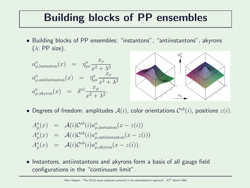### Building blocks of PP ensembles

• Building blocks of PP ensembles: "instantons", "antiinstantons", akyrons  $(\lambda: PP \text{ size}).$ a



 $\bullet$  Degrees of freedom: amplitudes  $\mathcal{A}(i)$ , color orientations  $\mathcal{C}^{ab}(i)$ , positions  $z(i)$ .

$$
A_{\mu}^{a}(x) = \mathcal{A}(i)\mathcal{C}^{ab}(i)a_{\mu,\text{instanton}}^{a}(x - z(i))
$$
  
\n
$$
A_{\mu}^{a}(x) = \mathcal{A}(i)\mathcal{C}^{ab}(i)a_{\mu,\text{antiinstanton}}^{a}(x - z(i))
$$
  
\n
$$
A_{\mu}^{a}(x) = \mathcal{A}(i)\mathcal{C}^{ab}(i)a_{\mu,\text{akyron}}^{a}(x - z(i)).
$$

• Instantons, antiinstantons and akyrons form a basis of all gauge field configurations in the "continuum limit".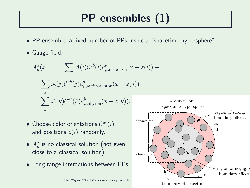# PP ensembles (1)

- PP ensemble: a fixed number of PPs inside a "spacetime hypersphere".
- Gauge field:

$$
A_{\mu}^{a}(x) = \sum_{i} \mathcal{A}(i) \mathcal{C}^{ab}(i) a_{\mu, \text{instanton}}^{b}(x - z(i)) +
$$

$$
\sum_{j} \mathcal{A}(j) \mathcal{C}^{ab}(j) a_{\mu, \text{antiinstanton}}^{b}(x - z(j)) +
$$

$$
\sum_{k} \mathcal{A}(k) \mathcal{C}^{ab}(k) a_{\mu, \text{akyron}}^{b}(x - z(k)).
$$

- Choose color orientations  $\mathcal{C}^{ab}(i)$ and positions  $z(i)$  randomly.
- $\bullet$   $A_{\mu}^{a}$  is no classical solution (not even close to a classical solution)!!!
- Long range interactions between PPs.

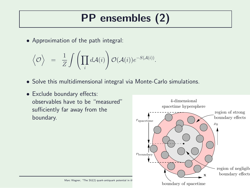# PP ensembles (2)

• Approximation of the path integral:

$$
\Big\langle {\cal O} \Big\rangle \;\; = \;\; \frac{1}{Z} \int \left( \prod_i d{\cal A}(i) \right) {\cal O} ({\cal A}(i)) e^{-S({\cal A}(i))}.
$$

- Solve this multidimensional integral via Monte-Carlo simulations.
- Exclude boundary effects: observables have to be "measured" sufficiently far away from the boundary.

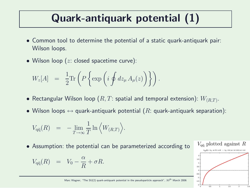## Quark-antiquark potential (1)

- Common tool to determine the potential of a static quark-antiquark pair: Wilson loops.
- Wilson loop  $(z: closed spacetime curve)$ :

$$
W_z[A] = \frac{1}{2} \text{Tr} \left( P \left\{ \exp \left( i \oint dz_{\mu} A_{\mu}(z) \right) \right\} \right).
$$

- $\bullet$  Rectangular Wilson loop  $(R,T:$  spatial and temporal extension):  $W_{(R,T)}.$
- Wilson loops  $\leftrightarrow$  quark-antiquark potential (R: quark-antiquark separation):

$$
V_{\mathbf{q}\bar{\mathbf{q}}}(R) = -\lim_{T \to \infty} \frac{1}{T} \ln \left\langle W_{(R,T)} \right\rangle.
$$

• Assumption: the potential can be parameterized according to

$$
V_{q\bar{q}}(R) = V_0 - \frac{\alpha}{R} + \sigma R.
$$



Marc Wagner, "The SU(2) quark-antiquark potential in the pseudoparticle approach",  $30^{th}$  March 2006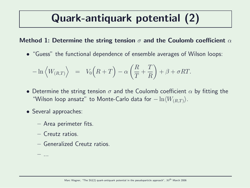## Quark-antiquark potential (2)

#### Method 1: Determine the string tension  $\sigma$  and the Coulomb coefficient  $\alpha$

• "Guess" the functional dependence of ensemble averages of Wilson loops:

$$
-\ln\left\langle W_{(R,T)}\right\rangle = V_0\left(R+T\right) - \alpha\left(\frac{R}{T} + \frac{T}{R}\right) + \beta + \sigma RT.
$$

- Determine the string tension  $\sigma$  and the Coulomb coefficient  $\alpha$  by fitting the "Wilson loop ansatz" to Monte-Carlo data for  $-\ln\langle W_{(R,T)}\rangle$ .
- Several approaches:
	- Area perimeter fits.
	- Creutz ratios.
	- Generalized Creutz ratios.

– ...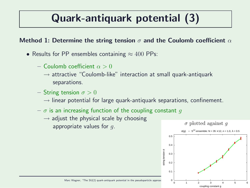## Quark-antiquark potential (3)

#### Method 1: Determine the string tension  $\sigma$  and the Coulomb coefficient  $\alpha$

- Results for PP ensembles containing  $\approx 400$  PPs:
	- Coulomb coefficient  $\alpha > 0$ 
		- $\rightarrow$  attractive "Coulomb-like" interaction at small quark-antiquark separations.
	- String tension  $\sigma > 0$ 
		- $\rightarrow$  linear potential for large quark-antiquark separations, confinement.
	- $-\sigma$  is an increasing function of the coupling constant q
		- $\rightarrow$  adjust the physical scale by choosing appropriate values for  $q$ .

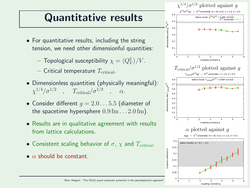### Quantitative results

- For quantitative results, including the string tension, we need other dimensionful quantities:
	- $-$  Topological susceptibility  $\chi = \langle Q_V^2\rangle/V.$
	- Critical temperature  $T_{\text{critical}}$ .
- Dimensionless quantities (physically meaningful):  $\chi^{1/4}/\sigma^{1/2}$  ,  $T_{\rm critical}/\sigma^{1/2}$  $\alpha$ .
- Consider different  $q = 2.0 \dots 5.5$  (diameter of the spacetime hypersphere  $0.9 \,\mathrm{fm} \dots 2.0 \,\mathrm{fm}$ .
- Results are in qualitative agreement with results from lattice calculations.
- Consistent scaling behavior of  $\sigma$ ,  $\chi$  and  $T_{critical}$ .
- $\bullet$   $\alpha$  should be constant.

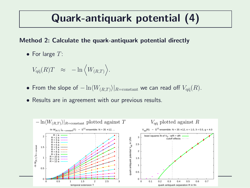## Quark-antiquark potential (4)

#### Method 2: Calculate the quark-antiquark potential directly

• For large  $T$ :

$$
V_{q\bar{q}}(R)T \approx -\ln \left\langle W_{(R,T)} \right\rangle.
$$

- From the slope of  $-\ln \langle W_{(R,T)} \rangle|_{R=\text{constant}}$  we can read off  $V_{q\bar{q}}(R)$ .
- Results are in agreement with our previous results.

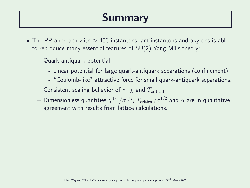## Summary

- The PP approach with  $\approx 400$  instantons, antiinstantons and akyrons is able to reproduce many essential features of SU(2) Yang-Mills theory:
	- Quark-antiquark potential:
		- ∗ Linear potential for large quark-antiquark separations (confinement).
		- ∗ "Coulomb-like" attractive force for small quark-antiquark separations.
	- Consistent scaling behavior of  $\sigma$ ,  $\chi$  and  $T_{\text{critical}}$ .
	- $-$  Dimensionless quantities  $\chi^{1/4}/\sigma^{1/2}$ ,  $T_{\rm critical}/\sigma^{1/2}$  and  $\alpha$  are in qualitative agreement with results from lattice calculations.